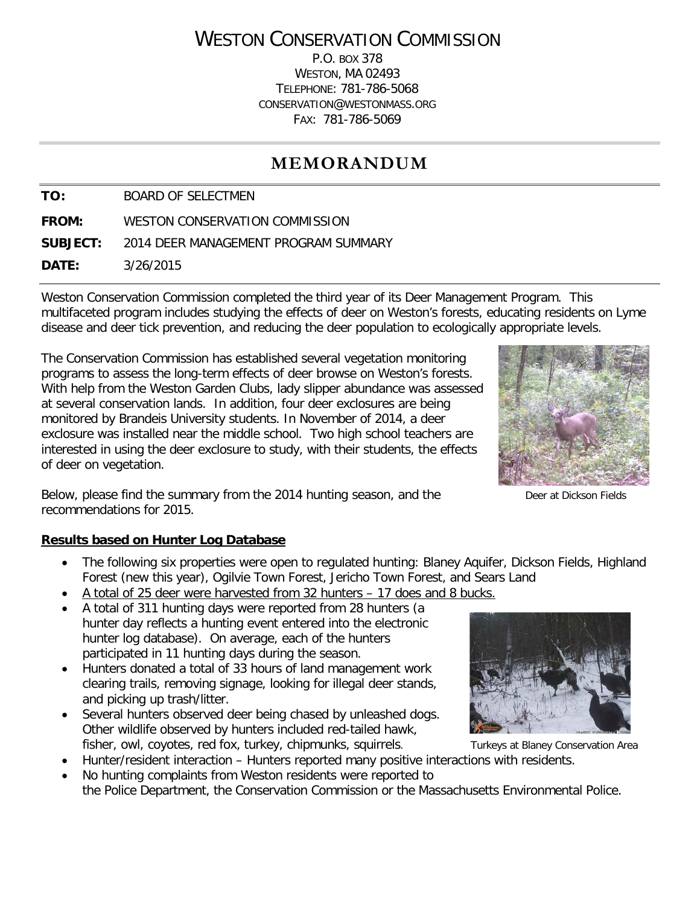# WESTON CONSERVATION COMMISSION

P.O. BOX 378 WESTON, MA 02493 TELEPHONE: 781-786-5068 CONSERVATION@WESTONMASS.ORG FAX: 781-786-5069

# **MEMORANDUM**

**TO:** BOARD OF SELECTMEN

**FROM:** WESTON CONSERVATION COMMISSION

**SUBJECT:** 2014 DEER MANAGEMENT PROGRAM SUMMARY

**DATE:** 3/26/2015

Weston Conservation Commission completed the third year of its Deer Management Program. This multifaceted program includes studying the effects of deer on Weston's forests, educating residents on Lyme disease and deer tick prevention, and reducing the deer population to ecologically appropriate levels.

The Conservation Commission has established several vegetation monitoring programs to assess the long-term effects of deer browse on Weston's forests. With help from the Weston Garden Clubs, lady slipper abundance was assessed at several conservation lands. In addition, four deer exclosures are being monitored by Brandeis University students. In November of 2014, a deer exclosure was installed near the middle school. Two high school teachers are interested in using the deer exclosure to study, with their students, the effects of deer on vegetation.



Below, please find the summary from the 2014 hunting season, and the Deer at Dickson Fields recommendations for 2015.

#### **Results based on Hunter Log Database**

- The following six properties were open to regulated hunting: Blaney Aguifer, Dickson Fields, Highland Forest (new this year), Ogilvie Town Forest, Jericho Town Forest, and Sears Land
- A total of 25 deer were harvested from 32 hunters 17 does and 8 bucks.
- A total of 311 hunting days were reported from 28 hunters (a hunter day reflects a hunting event entered into the electronic hunter log database). On average, each of the hunters participated in 11 hunting days during the season.
- Hunters donated a total of 33 hours of land management work clearing trails, removing signage, looking for illegal deer stands, and picking up trash/litter.
- Several hunters observed deer being chased by unleashed dogs. Other wildlife observed by hunters included red-tailed hawk, fisher, owl, coyotes, red fox, turkey, chipmunks, squirrels. Turkeys at Blaney Conservation Area
- Hunter/resident interaction Hunters reported many positive interactions with residents.
- No hunting complaints from Weston residents were reported to the Police Department, the Conservation Commission or the Massachusetts Environmental Police.